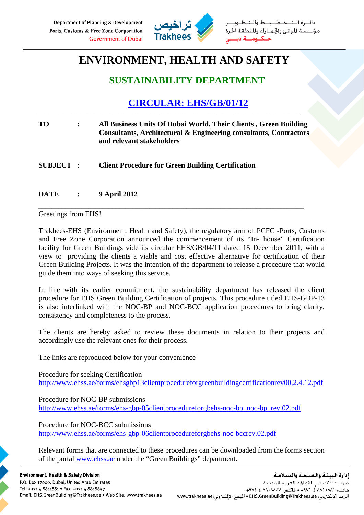

طــيــط والــتـ مؤسسة الموانئ والجمارك والمنطقة الحرة

## **ENVIRONMENT, HEALTH AND SAFETY**

## **SUSTAINABILITY DEPARTMENT**

## **CIRCULAR: EHS/GB/01/12**

| TO.              | All Business Units Of Dubai World, Their Clients, Green Building<br>Consultants, Architectural & Engineering consultants, Contractors<br>and relevant stakeholders |
|------------------|--------------------------------------------------------------------------------------------------------------------------------------------------------------------|
| <b>SUBJECT :</b> | <b>Client Procedure for Green Building Certification</b>                                                                                                           |

\_\_\_\_\_\_\_\_\_\_\_\_\_\_\_\_\_\_\_\_\_\_\_\_\_\_\_\_\_\_\_\_\_\_\_\_\_\_\_\_\_\_\_\_\_\_\_\_\_\_\_\_\_\_\_\_\_\_\_\_\_\_\_\_\_\_\_\_\_\_\_\_\_\_\_\_\_\_\_

\_\_\_\_\_\_\_\_\_\_\_\_\_\_\_\_\_\_\_\_\_\_\_\_\_\_\_\_\_\_\_\_\_\_\_\_\_\_\_\_\_\_\_\_\_\_\_\_\_\_\_\_\_\_\_\_\_\_\_\_\_\_\_\_\_\_\_\_\_\_\_\_\_\_\_\_\_\_

**DATE : 9 April 2012** 

Greetings from EHS!

Trakhees-EHS (Environment, Health and Safety), the regulatory arm of PCFC -Ports, Customs and Free Zone Corporation announced the commencement of its "In- house" Certification facility for Green Buildings vide its circular EHS/GB/04/11 dated 15 December 2011, with a view to providing the clients a viable and cost effective alternative for certification of their Green Building Projects. It was the intention of the department to release a procedure that would guide them into ways of seeking this service.

In line with its earlier commitment, the sustainability department has released the client procedure for EHS Green Building Certification of projects. This procedure titled EHS-GBP-13 is also interlinked with the NOC-BP and NOC-BCC application procedures to bring clarity, consistency and completeness to the process.

The clients are hereby asked to review these documents in relation to their projects and accordingly use the relevant ones for their process.

The links are reproduced below for your convenience

Procedure for seeking Certification http://www.ehss.ae/forms/ehsgbp13clientprocedureforgreenbuildingcertificationrev00,2.4.12.pdf

Procedure for NOC-BP submissions http://www.ehss.ae/forms/ehs-gbp-05clientprocedureforgbehs-noc-bp\_noc-bp\_rev.02.pdf

Procedure for NOC-BCC submissions http://www.ehss.ae/forms/ehs-gbp-06clientprocedureforgbehs-noc-bccrev.02.pdf

Relevant forms that are connected to these procedures can be downloaded from the forms section of the portal www.ehss.ae under the "Green Buildings" department.